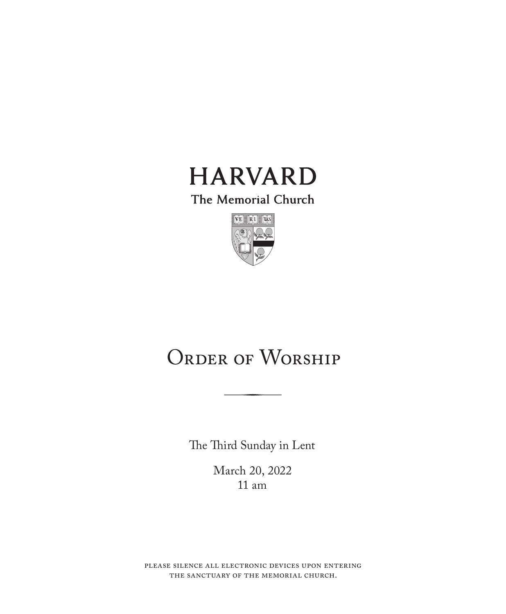

The Memorial Church



# ORDER OF WORSHIP

The Third Sunday in Lent

March 20, 2022 11 am

please silence all electronic devices upon entering the sanctuary of the memorial church.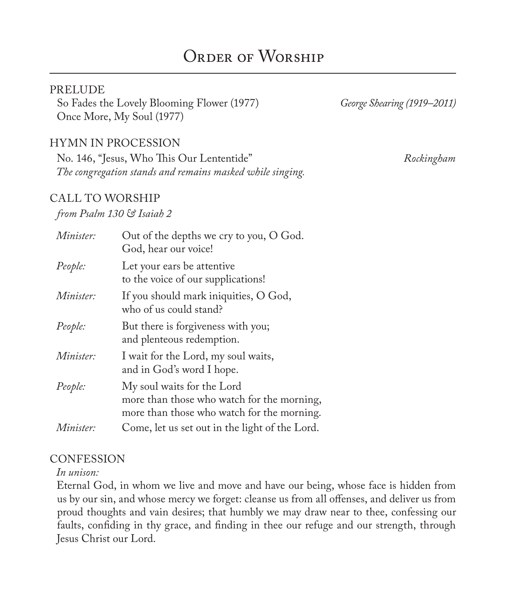# ORDER OF WORSHIP

#### **PRELUDE**

So Fades the Lovely Blooming Flower (1977) *George Shearing (1919–2011)* Once More, My Soul (1977)

#### HYMN IN PROCESSION

No. 146, "Jesus, Who This Our Lententide" *Rockingham The congregation stands and remains masked while singing.*

#### CALL TO WORSHIP

#### *from Psalm 130 & Isaiah 2*

| Minister: | Out of the depths we cry to you, O God.<br>God, hear our voice!                                                        |
|-----------|------------------------------------------------------------------------------------------------------------------------|
| People:   | Let your ears be attentive<br>to the voice of our supplications!                                                       |
| Minister: | If you should mark iniquities, O God,<br>who of us could stand?                                                        |
| People:   | But there is forgiveness with you;<br>and plenteous redemption.                                                        |
| Minister: | I wait for the Lord, my soul waits,<br>and in God's word I hope.                                                       |
| People:   | My soul waits for the Lord<br>more than those who watch for the morning,<br>more than those who watch for the morning. |
| Minister: | Come, let us set out in the light of the Lord.                                                                         |

#### **CONFESSION**

#### *In unison:*

Eternal God, in whom we live and move and have our being, whose face is hidden from us by our sin, and whose mercy we forget: cleanse us from all offenses, and deliver us from proud thoughts and vain desires; that humbly we may draw near to thee, confessing our faults, confiding in thy grace, and finding in thee our refuge and our strength, through Jesus Christ our Lord.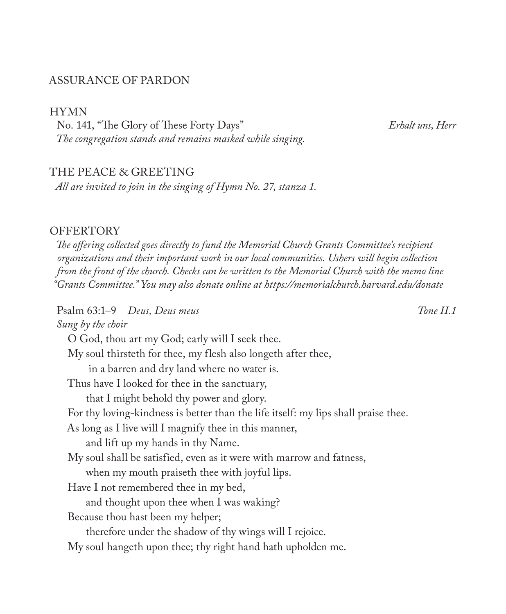#### ASSURANCE OF PARDON

HYMN

No. 141, "The Glory of These Forty Days" *Erhalt uns, Herr The congregation stands and remains masked while singing.*

#### THE PEACE & GREETING

*All are invited to join in the singing of Hymn No. 27, stanza 1.*

#### **OFFERTORY**

*The offering collected goes directly to fund the Memorial Church Grants Committee's recipient organizations and their important work in our local communities. Ushers will begin collection from the front of the church. Checks can be written to the Memorial Church with the memo line "Grants Committee." You may also donate online at https://memorialchurch.harvard.edu/donate* 

Psalm 63:1–9 *Deus, Deus meus Tone II.1 Sung by the choir* O God, thou art my God; early will I seek thee. My soul thirsteth for thee, my flesh also longeth after thee, in a barren and dry land where no water is. Thus have I looked for thee in the sanctuary, that I might behold thy power and glory. For thy loving-kindness is better than the life itself: my lips shall praise thee. As long as I live will I magnify thee in this manner, and lift up my hands in thy Name. My soul shall be satisfied, even as it were with marrow and fatness, when my mouth praiseth thee with joyful lips. Have I not remembered thee in my bed, and thought upon thee when I was waking? Because thou hast been my helper; therefore under the shadow of thy wings will I rejoice. My soul hangeth upon thee; thy right hand hath upholden me.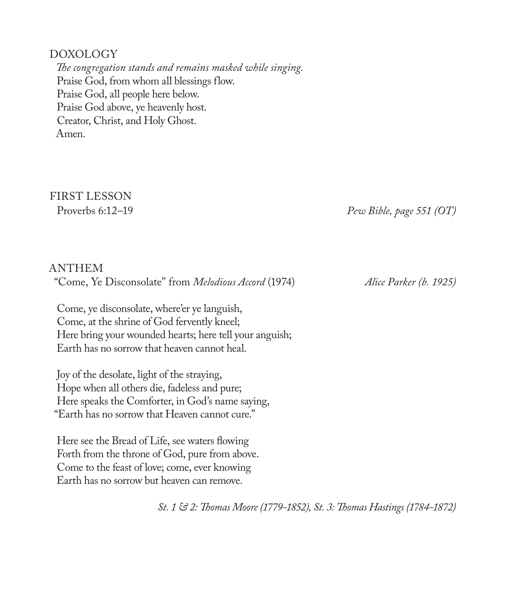#### DOXOLOGY

*The congregation stands and remains masked while singing.* Praise God, from whom all blessings flow. Praise God, all people here below. Praise God above, ye heavenly host. Creator, Christ, and Holy Ghost. Amen.

# FIRST LESSON

Proverbs 6:12–19 *Pew Bible, page 551 (OT)*

#### ANTHEM "Come, Ye Disconsolate" from *Melodious Accord* (1974) *Alice Parker (b. 1925)*

Come, ye disconsolate, where'er ye languish, Come, at the shrine of God fervently kneel; Here bring your wounded hearts; here tell your anguish; Earth has no sorrow that heaven cannot heal.

Joy of the desolate, light of the straying, Hope when all others die, fadeless and pure; Here speaks the Comforter, in God's name saying, "Earth has no sorrow that Heaven cannot cure."

Here see the Bread of Life, see waters flowing Forth from the throne of God, pure from above. Come to the feast of love; come, ever knowing Earth has no sorrow but heaven can remove.

*St. 1 & 2: Thomas Moore (1779-1852), St. 3: Thomas Hastings (1784-1872)*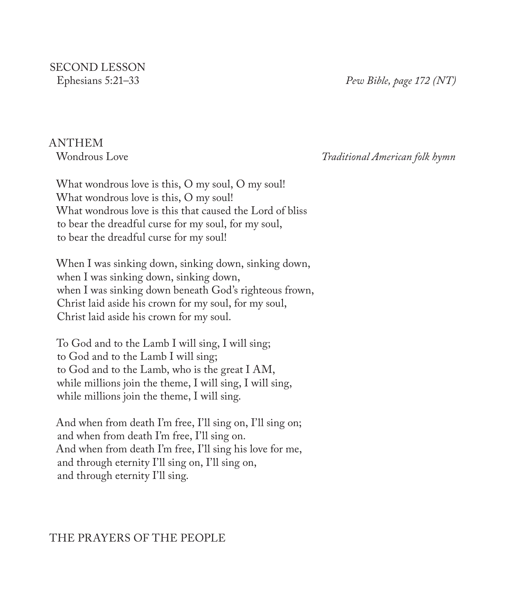SECOND LESSON<br>Ephesians 5:21–33

Ephesians 5:21–33 *Pew Bible, page 172 (NT)*

# ANTHEM<br>Wondrous Love

Wondrous Love *Traditional American folk hymn*

What wondrous love is this, O my soul, O my soul! What wondrous love is this, O my soul! What wondrous love is this that caused the Lord of bliss to bear the dreadful curse for my soul, for my soul, to bear the dreadful curse for my soul!

When I was sinking down, sinking down, sinking down, when I was sinking down, sinking down, when I was sinking down beneath God's righteous frown, Christ laid aside his crown for my soul, for my soul, Christ laid aside his crown for my soul.

To God and to the Lamb I will sing, I will sing; to God and to the Lamb I will sing; to God and to the Lamb, who is the great I AM, while millions join the theme, I will sing, I will sing, while millions join the theme, I will sing.

And when from death I'm free, I'll sing on, I'll sing on; and when from death I'm free, I'll sing on. And when from death I'm free, I'll sing his love for me, and through eternity I'll sing on, I'll sing on, and through eternity I'll sing.

## THE PRAYERS OF THE PEOPLE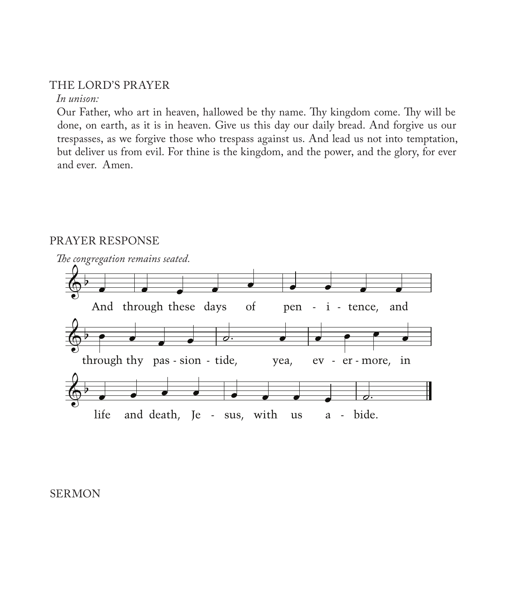#### THE LORD'S PRAYER

#### *In unison:*

Our Father, who art in heaven, hallowed be thy name. Thy kingdom come. Thy will be done, on earth, as it is in heaven. Give us this day our daily bread. And forgive us our trespasses, as we forgive those who trespass against us. And lead us not into temptation, but deliver us from evil. For thine is the kingdom, and the power, and the glory, for ever and ever. Amen.

# *The congregation remains seated.*  $\overline{\mathbb{Q}}^{\flat}$ And through these days of pen - i - tence, and  $\overline{\mathbb{Q}}^{\flat}$ through thy pas - sion - tide, yea, ev - er - more, in  $\overline{\mathbb{Q}}^{\flat}$ life and death, Je - sus, with us a - bide. **■** <sup>œ</sup> <sup>œ</sup> <sup>œ</sup> <sup>œ</sup> ˙. <sup>œ</sup> <sup>œ</sup> <sup>œ</sup> <sup>œ</sup> <sup>œ</sup>  $\bullet$   $\bullet$   $\bullet$   $\bullet$   $\bullet$   $\bullet$   $\bullet$   $\bullet$

#### PRAYER RESPONSE

#### SERMON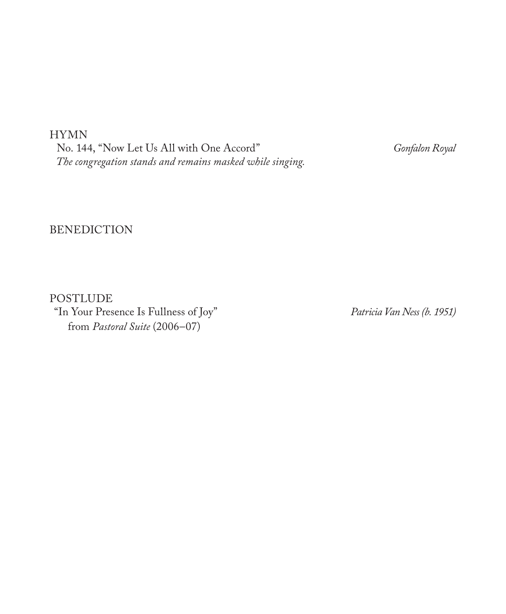HYMN

No. 144, "Now Let Us All with One Accord" *Gonfalon Royal The congregation stands and remains masked while singing.*

#### BENEDICTION

POSTLUDE "In Your Presence Is Fullness of Joy" *Patricia Van Ness (b. 1951)* from *Pastoral Suite* (2006–07)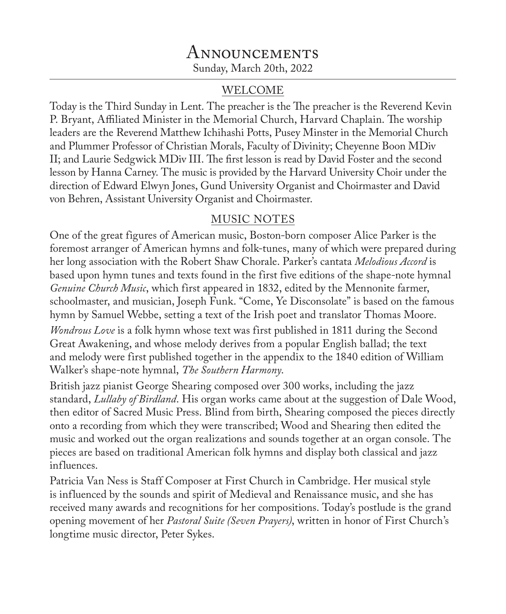## **ANNOUNCEMENTS** Sunday, March 20th, 2022

### WELCOME

Today is the Third Sunday in Lent. The preacher is the The preacher is the Reverend Kevin P. Bryant, Affiliated Minister in the Memorial Church, Harvard Chaplain. The worship leaders are the Reverend Matthew Ichihashi Potts, Pusey Minster in the Memorial Church and Plummer Professor of Christian Morals, Faculty of Divinity; Cheyenne Boon MDiv II; and Laurie Sedgwick MDiv III. The first lesson is read by David Foster and the second lesson by Hanna Carney. The music is provided by the Harvard University Choir under the direction of Edward Elwyn Jones, Gund University Organist and Choirmaster and David von Behren, Assistant University Organist and Choirmaster.

## MUSIC NOTES

One of the great figures of American music, Boston-born composer Alice Parker is the foremost arranger of American hymns and folk-tunes, many of which were prepared during her long association with the Robert Shaw Chorale. Parker's cantata *Melodious Accord* is based upon hymn tunes and texts found in the first five editions of the shape-note hymnal *Genuine Church Music*, which first appeared in 1832, edited by the Mennonite farmer, schoolmaster, and musician, Joseph Funk. "Come, Ye Disconsolate" is based on the famous hymn by Samuel Webbe, setting a text of the Irish poet and translator Thomas Moore.

*Wondrous Love* is a folk hymn whose text was first published in 1811 during the Second Great Awakening, and whose melody derives from a popular English ballad; the text and melody were first published together in the appendix to the 1840 edition of William Walker's shape-note hymnal, *The Southern Harmony*.

British jazz pianist George Shearing composed over 300 works, including the jazz standard, *Lullaby of Birdland*. His organ works came about at the suggestion of Dale Wood, then editor of Sacred Music Press. Blind from birth, Shearing composed the pieces directly onto a recording from which they were transcribed; Wood and Shearing then edited the music and worked out the organ realizations and sounds together at an organ console. The pieces are based on traditional American folk hymns and display both classical and jazz influences.

Patricia Van Ness is Staff Composer at First Church in Cambridge. Her musical style is influenced by the sounds and spirit of Medieval and Renaissance music, and she has received many awards and recognitions for her compositions. Today's postlude is the grand opening movement of her *Pastoral Suite (Seven Prayers)*, written in honor of First Church's longtime music director, Peter Sykes.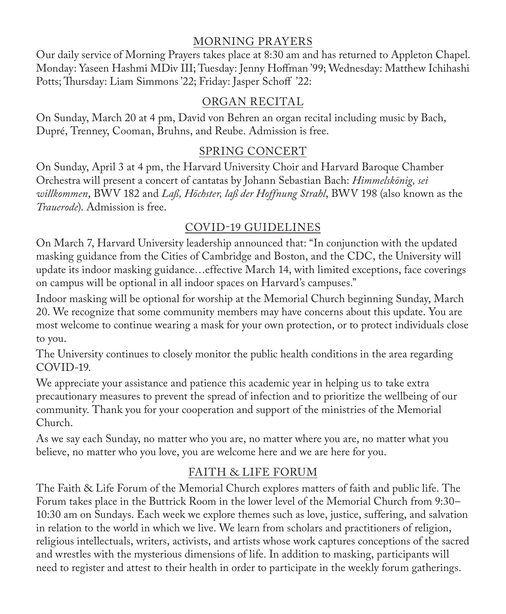### MORNING PRAYERS

Our daily service of Morning Prayers takes place at 8:30 am and has returned to Appleton Chapel. Monday: Yaseen Hashmi MDiv III; Tuesday: Jenny Hoffman '99; Wednesday: Matthew Ichihashi Potts; Thursday: Liam Simmons '22; Friday: Jasper Schoff '22:

## ORGAN RECITAL

On Sunday, March 20 at 4 pm, David von Behren an organ recital including music by Bach, Dupré, Trenney, Cooman, Bruhns, and Reube. Admission is free.

## SPRING CONCERT

On Sunday, April 3 at 4 pm, the Harvard University Choir and Harvard Baroque Chamber Orchestra will present a concert of cantatas by Johann Sebastian Bach: *Himmelskönig, sei willkommen*, BWV 182 and *Laß, Höchster, laß der Hoffnung Strahl*, BWV 198 (also known as the *Trauerode*). Admission is free.

# COVID-19 GUIDELINES

On March 7, Harvard University leadership announced that: "In conjunction with the updated masking guidance from the Cities of Cambridge and Boston, and the CDC, the University will update its indoor masking guidance…effective March 14, with limited exceptions, face coverings on campus will be optional in all indoor spaces on Harvard's campuses."

Indoor masking will be optional for worship at the Memorial Church beginning Sunday, March 20. We recognize that some community members may have concerns about this update. You are most welcome to continue wearing a mask for your own protection, or to protect individuals close to you.

The University continues to closely monitor the public health conditions in the area regarding COVID-19.

We appreciate your assistance and patience this academic year in helping us to take extra precautionary measures to prevent the spread of infection and to prioritize the wellbeing of our community. Thank you for your cooperation and support of the ministries of the Memorial Church.

As we say each Sunday, no matter who you are, no matter where you are, no matter what you believe, no matter who you love, you are welcome here and we are here for you.

## FAITH & LIFE FORUM

The Faith & Life Forum of the Memorial Church explores matters of faith and public life. The Forum takes place in the Buttrick Room in the lower level of the Memorial Church from 9:30– 10:30 am on Sundays. Each week we explore themes such as love, justice, suffering, and salvation in relation to the world in which we live. We learn from scholars and practitioners of religion, religious intellectuals, writers, activists, and artists whose work captures conceptions of the sacred and wrestles with the mysterious dimensions of life. In addition to masking, participants will need to register and attest to their health in order to participate in the weekly forum gatherings.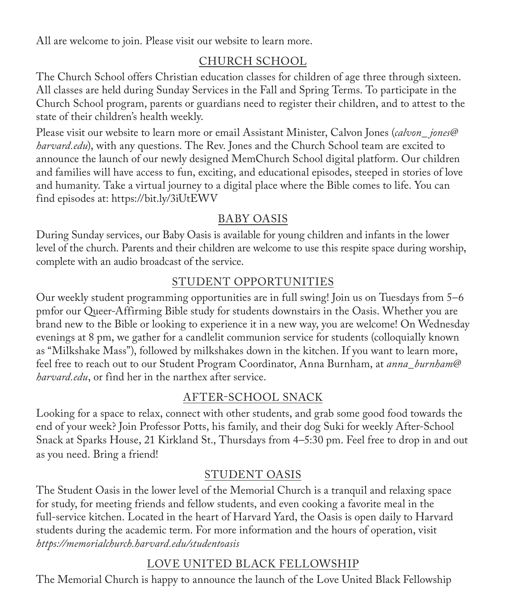All are welcome to join. Please visit our website to learn more.

## CHURCH SCHOOL

The Church School offers Christian education classes for children of age three through sixteen. All classes are held during Sunday Services in the Fall and Spring Terms. To participate in the Church School program, parents or guardians need to register their children, and to attest to the state of their children's health weekly.

Please visit our website to learn more or email Assistant Minister, Calvon Jones (*calvon\_ jones@ harvard.edu*), with any questions. The Rev. Jones and the Church School team are excited to announce the launch of our newly designed MemChurch School digital platform. Our children and families will have access to fun, exciting, and educational episodes, steeped in stories of love and humanity. Take a virtual journey to a digital place where the Bible comes to life. You can find episodes at: https://bit.ly/3iUtEWV

## BABY OASIS

During Sunday services, our Baby Oasis is available for young children and infants in the lower level of the church. Parents and their children are welcome to use this respite space during worship, complete with an audio broadcast of the service.

## STUDENT OPPORTUNITIES

Our weekly student programming opportunities are in full swing! Join us on Tuesdays from 5–6 pmfor our Queer-Affirming Bible study for students downstairs in the Oasis. Whether you are brand new to the Bible or looking to experience it in a new way, you are welcome! On Wednesday evenings at 8 pm, we gather for a candlelit communion service for students (colloquially known as "Milkshake Mass"), followed by milkshakes down in the kitchen. If you want to learn more, feel free to reach out to our Student Program Coordinator, Anna Burnham, at *anna\_burnham@ harvard.edu*, or find her in the narthex after service.

## AFTER-SCHOOL SNACK

Looking for a space to relax, connect with other students, and grab some good food towards the end of your week? Join Professor Potts, his family, and their dog Suki for weekly After-School Snack at Sparks House, 21 Kirkland St., Thursdays from 4–5:30 pm. Feel free to drop in and out as you need. Bring a friend!

## STUDENT OASIS

The Student Oasis in the lower level of the Memorial Church is a tranquil and relaxing space for study, for meeting friends and fellow students, and even cooking a favorite meal in the full-service kitchen. Located in the heart of Harvard Yard, the Oasis is open daily to Harvard students during the academic term. For more information and the hours of operation, visit *https://memorialchurch.harvard.edu/studentoasis*

## LOVE UNITED BLACK FELLOWSHIP

The Memorial Church is happy to announce the launch of the Love United Black Fellowship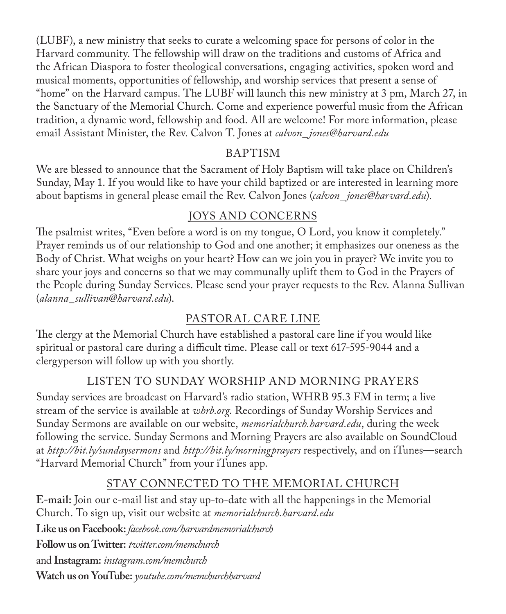(LUBF), a new ministry that seeks to curate a welcoming space for persons of color in the Harvard community. The fellowship will draw on the traditions and customs of Africa and the African Diaspora to foster theological conversations, engaging activities, spoken word and musical moments, opportunities of fellowship, and worship services that present a sense of "home" on the Harvard campus. The LUBF will launch this new ministry at 3 pm, March 27, in the Sanctuary of the Memorial Church. Come and experience powerful music from the African tradition, a dynamic word, fellowship and food. All are welcome! For more information, please email Assistant Minister, the Rev. Calvon T. Jones at *calvon\_ jones@harvard.edu*

## BAPTISM

We are blessed to announce that the Sacrament of Holy Baptism will take place on Children's Sunday, May 1. If you would like to have your child baptized or are interested in learning more about baptisms in general please email the Rev. Calvon Jones (*calvon\_ jones@harvard.edu*).

## JOYS AND CONCERNS

The psalmist writes, "Even before a word is on my tongue, O Lord, you know it completely." Prayer reminds us of our relationship to God and one another; it emphasizes our oneness as the Body of Christ. What weighs on your heart? How can we join you in prayer? We invite you to share your joys and concerns so that we may communally uplift them to God in the Prayers of the People during Sunday Services. Please send your prayer requests to the Rev. Alanna Sullivan (*alanna\_sullivan*@*harvard.edu*).

## PASTORAL CARE LINE

The clergy at the Memorial Church have established a pastoral care line if you would like spiritual or pastoral care during a difficult time. Please call or text 617-595-9044 and a clergyperson will follow up with you shortly.

## LISTEN TO SUNDAY WORSHIP AND MORNING PRAYERS

Sunday services are broadcast on Harvard's radio station, WHRB 95.3 FM in term; a live stream of the service is available at *whrb.org*. Recordings of Sunday Worship Services and Sunday Sermons are available on our website, *memorialchurch.harvard.edu*, during the week following the service. Sunday Sermons and Morning Prayers are also available on SoundCloud at *http://bit.ly/sundaysermons* and *http://bit.ly/morningprayers* respectively, and on iTunes—search "Harvard Memorial Church" from your iTunes app.

## STAY CONNECTED TO THE MEMORIAL CHURCH

**E-mail:** Join our e-mail list and stay up-to-date with all the happenings in the Memorial Church. To sign up, visit our website at *memorialchurch.harvard.edu*

**Like us on Facebook:** *facebook.com/harvardmemorialchurch*

**Follow us on Twitter:** *twitter.com/memchurch*

and **Instagram:** *instagram.com/memchurch*

**Watch us on YouTube:** *youtube.com/memchurchharvard*